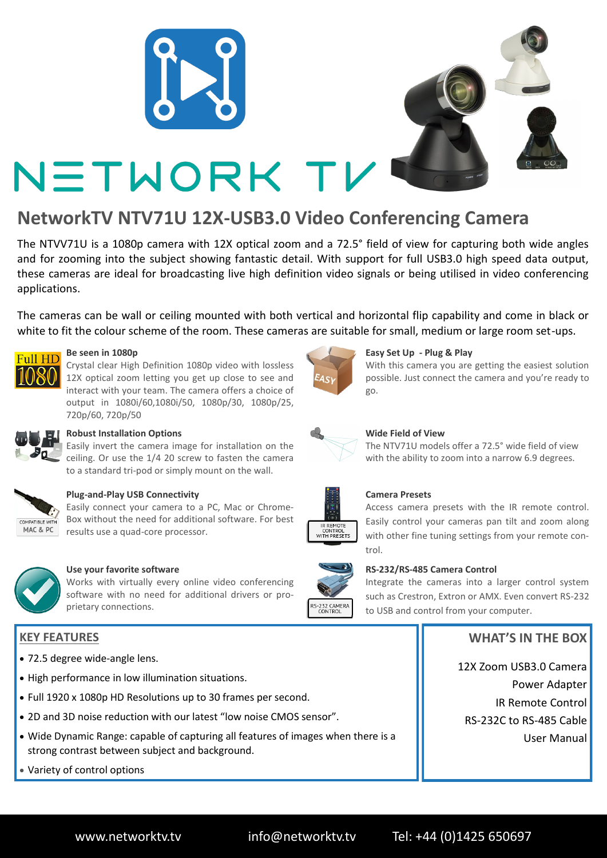



# NETWORK TV

# **NetworkTV NTV71U 12X-USB3.0 Video Conferencing Camera**

The NTVV71U is a 1080p camera with 12X optical zoom and a 72.5° field of view for capturing both wide angles and for zooming into the subject showing fantastic detail. With support for full USB3.0 high speed data output, these cameras are ideal for broadcasting live high definition video signals or being utilised in video conferencing applications.

The cameras can be wall or ceiling mounted with both vertical and horizontal flip capability and come in black or white to fit the colour scheme of the room. These cameras are suitable for small, medium or large room set-ups.



## **Be seen in 1080p**

Crystal clear High Definition 1080p video with lossless 12X optical zoom letting you get up close to see and interact with your team. The camera offers a choice of output in 1080i/60,1080i/50, 1080p/30, 1080p/25, 720p/60, 720p/50



# **Robust Installation Options**

Easily invert the camera image for installation on the ceiling. Or use the 1/4 20 screw to fasten the camera to a standard tri-pod or simply mount on the wall.



# **Plug-and-Play USB Connectivity**

Easily connect your camera to a PC, Mac or Chrome-Box without the need for additional software. For best results use a quad-core processor.



#### **Use your favorite software**

Works with virtually every online video conferencing software with no need for additional drivers or proprietary connections.

# **KEY FEATURES**

- 72.5 degree wide-angle lens.
- High performance in low illumination situations.
- Full 1920 x 1080p HD Resolutions up to 30 frames per second.
- 2D and 3D noise reduction with our latest "low noise CMOS sensor".
- Wide Dynamic Range: capable of capturing all features of images when there is a strong contrast between subject and background.
- Variety of control options



## **Easy Set Up - Plug & Play**

With this camera you are getting the easiest solution possible. Just connect the camera and you're ready to go.



# **Wide Field of View**

The NTV71U models offer a 72.5° wide field of view with the ability to zoom into a narrow 6.9 degrees.



#### **Camera Presets**

Access camera presets with the IR remote control. Easily control your cameras pan tilt and zoom along with other fine tuning settings from your remote control.



#### **RS-232/RS-485 Camera Control**

Integrate the cameras into a larger control system such as Crestron, Extron or AMX. Even convert RS-232 to USB and control from your computer.

# **WHAT'S IN THE BOX**

12X Zoom USB3.0 Camera Power Adapter IR Remote Control RS-232C to RS-485 Cable User Manual